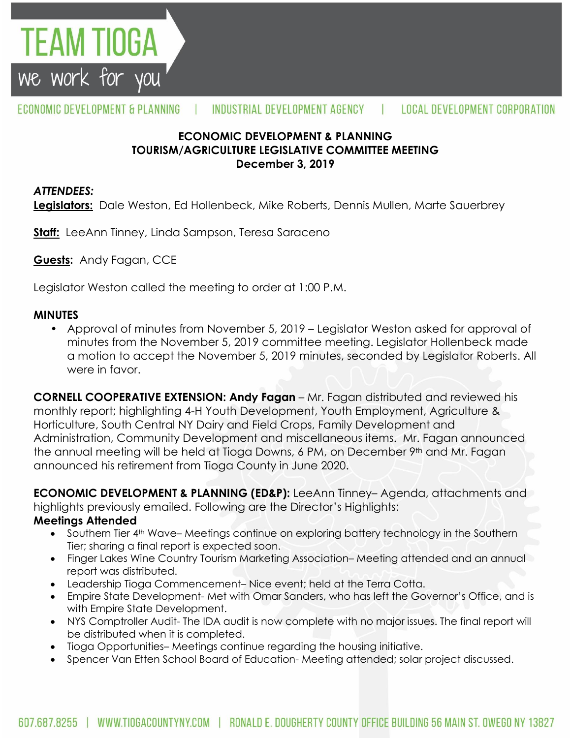

# **ECONOMIC DEVELOPMENT & PLANNING TOURISM/AGRICULTURE LEGISLATIVE COMMITTEE MEETING December 3, 2019**

# *ATTENDEES:*

**Legislators:** Dale Weston, Ed Hollenbeck, Mike Roberts, Dennis Mullen, Marte Sauerbrey

**Staff:** LeeAnn Tinney, Linda Sampson, Teresa Saraceno

**Guests:** Andy Fagan, CCE

FEAM TIOGA

we work for you

Legislator Weston called the meeting to order at 1:00 P.M.

#### **MINUTES**

• Approval of minutes from November 5, 2019 – Legislator Weston asked for approval of minutes from the November 5, 2019 committee meeting. Legislator Hollenbeck made a motion to accept the November 5, 2019 minutes, seconded by Legislator Roberts. All were in favor.

**CORNELL COOPERATIVE EXTENSION: Andy Fagan** – Mr. Fagan distributed and reviewed his monthly report; highlighting 4-H Youth Development, Youth Employment, Agriculture & Horticulture, South Central NY Dairy and Field Crops, Family Development and Administration, Community Development and miscellaneous items. Mr. Fagan announced the annual meeting will be held at Tioga Downs, 6 PM, on December 9th and Mr. Fagan announced his retirement from Tioga County in June 2020.

**ECONOMIC DEVELOPMENT & PLANNING (ED&P):** LeeAnn Tinney– Agenda, attachments and highlights previously emailed. Following are the Director's Highlights:

#### **Meetings Attended**

- Southern Tier 4<sup>th</sup> Wave– Meetings continue on exploring battery technology in the Southern Tier; sharing a final report is expected soon.
- Finger Lakes Wine Country Tourism Marketing Association– Meeting attended and an annual report was distributed.
- Leadership Tioga Commencement– Nice event; held at the Terra Cotta.
- Empire State Development- Met with Omar Sanders, who has left the Governor's Office, and is with Empire State Development.
- NYS Comptroller Audit- The IDA audit is now complete with no major issues. The final report will be distributed when it is completed.
- Tioga Opportunities– Meetings continue regarding the housing initiative.
- Spencer Van Etten School Board of Education- Meeting attended; solar project discussed.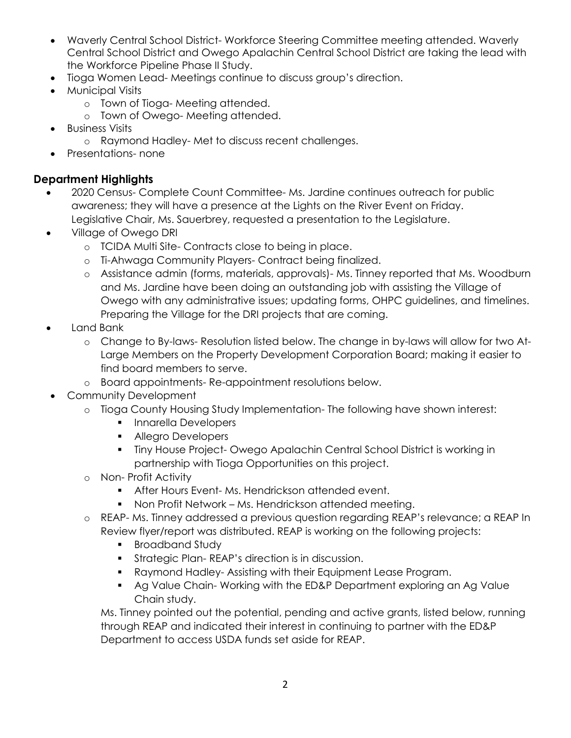- Waverly Central School District- Workforce Steering Committee meeting attended. Waverly Central School District and Owego Apalachin Central School District are taking the lead with the Workforce Pipeline Phase II Study.
- Tioga Women Lead- Meetings continue to discuss group's direction.
- Municipal Visits
	- o Town of Tioga- Meeting attended.
	- o Town of Owego- Meeting attended.
- Business Visits
	- o Raymond Hadley- Met to discuss recent challenges.
- Presentations- none

# **Department Highlights**

- 2020 Census- Complete Count Committee- Ms. Jardine continues outreach for public awareness; they will have a presence at the Lights on the River Event on Friday. Legislative Chair, Ms. Sauerbrey, requested a presentation to the Legislature.
- Village of Owego DRI
	- o TCIDA Multi Site- Contracts close to being in place.
	- o Ti-Ahwaga Community Players- Contract being finalized.
	- o Assistance admin (forms, materials, approvals)- Ms. Tinney reported that Ms. Woodburn and Ms. Jardine have been doing an outstanding job with assisting the Village of Owego with any administrative issues; updating forms, OHPC guidelines, and timelines. Preparing the Village for the DRI projects that are coming.
- Land Bank
	- o Change to By-laws- Resolution listed below. The change in by-laws will allow for two At-Large Members on the Property Development Corporation Board; making it easier to find board members to serve.
	- o Board appointments- Re-appointment resolutions below.
- Community Development
	- o Tioga County Housing Study Implementation- The following have shown interest:
		- **Innarella Developers**
		- **Allegro Developers**
		- Tiny House Project- Owego Apalachin Central School District is working in partnership with Tioga Opportunities on this project.
	- o Non- Profit Activity
		- **After Hours Event-Ms. Hendrickson attended event.**
		- Non Profit Network Ms. Hendrickson attended meeting.
	- o REAP- Ms. Tinney addressed a previous question regarding REAP's relevance; a REAP In Review flyer/report was distributed. REAP is working on the following projects:
		- **Broadband Study**
		- **Strategic Plan- REAP's direction is in discussion.**
		- Raymond Hadley- Assisting with their Equipment Lease Program.
		- Ag Value Chain- Working with the ED&P Department exploring an Ag Value Chain study.

Ms. Tinney pointed out the potential, pending and active grants, listed below, running through REAP and indicated their interest in continuing to partner with the ED&P Department to access USDA funds set aside for REAP.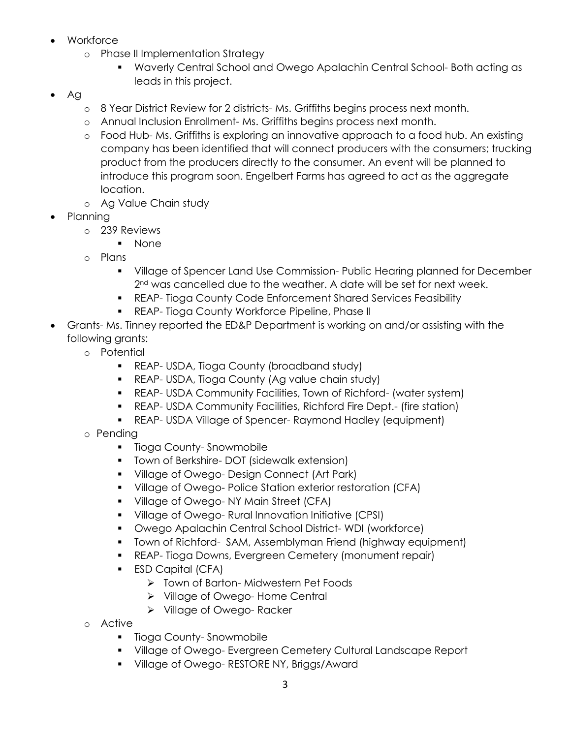- Workforce
	- o Phase II Implementation Strategy
		- Waverly Central School and Owego Apalachin Central School- Both acting as leads in this project.
- $\bullet$  Ag
	- o 8 Year District Review for 2 districts- Ms. Griffiths begins process next month.
	- o Annual Inclusion Enrollment- Ms. Griffiths begins process next month.
	- o Food Hub- Ms. Griffiths is exploring an innovative approach to a food hub. An existing company has been identified that will connect producers with the consumers; trucking product from the producers directly to the consumer. An event will be planned to introduce this program soon. Engelbert Farms has agreed to act as the aggregate location.
	- o Ag Value Chain study
- Planning
	- o 239 Reviews
		- None
	- o Plans
		- Village of Spencer Land Use Commission- Public Hearing planned for December 2<sup>nd</sup> was cancelled due to the weather. A date will be set for next week.
		- REAP- Tioga County Code Enforcement Shared Services Feasibility
		- **REAP- Tioga County Workforce Pipeline, Phase II**
- Grants- Ms. Tinney reported the ED&P Department is working on and/or assisting with the following grants:
	- o Potential
		- **REAP- USDA, Tioga County (broadband study)**
		- **REAP- USDA, Tioga County (Ag value chain study)**
		- REAP- USDA Community Facilities, Town of Richford- (water system)
		- REAP- USDA Community Facilities, Richford Fire Dept.- (fire station)
		- REAP- USDA Village of Spencer- Raymond Hadley (equipment)
	- o Pending
		- **Tioga County-Snowmobile**
		- **Town of Berkshire- DOT (sidewalk extension)**
		- **Village of Owego- Design Connect (Art Park)**
		- Village of Owego- Police Station exterior restoration (CFA)
		- **Village of Owego- NY Main Street (CFA)**
		- Village of Owego- Rural Innovation Initiative (CPSI)
		- Owego Apalachin Central School District- WDI (workforce)
		- Town of Richford- SAM, Assemblyman Friend (highway equipment)
		- **REAP- Tioga Downs, Evergreen Cemetery (monument repair)**
		- **ESD Capital (CFA)** 
			- > Town of Barton-Midwestern Pet Foods
			- Village of Owego- Home Central
			- Village of Owego- Racker
	- o Active
		- **Tioga County-Snowmobile**
		- Village of Owego- Evergreen Cemetery Cultural Landscape Report
		- **Village of Owego- RESTORE NY, Briggs/Award**